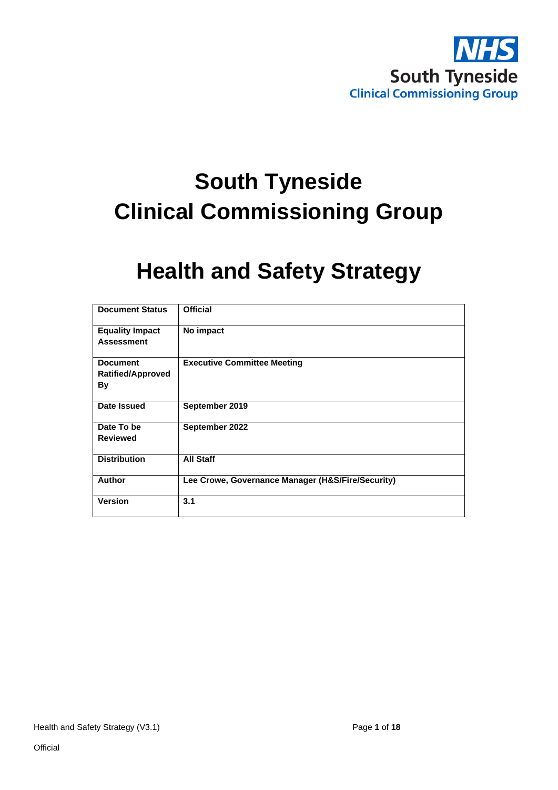

# **South Tyneside Clinical Commissioning Group**

# **Health and Safety Strategy**

| <b>Document Status</b>                            | <b>Official</b>                                   |
|---------------------------------------------------|---------------------------------------------------|
| <b>Equality Impact</b><br><b>Assessment</b>       | No impact                                         |
|                                                   |                                                   |
| <b>Document</b><br><b>Ratified/Approved</b><br>By | <b>Executive Committee Meeting</b>                |
| Date Issued                                       | September 2019                                    |
| Date To be                                        | September 2022                                    |
| <b>Reviewed</b>                                   |                                                   |
| <b>Distribution</b>                               | <b>All Staff</b>                                  |
| <b>Author</b>                                     | Lee Crowe, Governance Manager (H&S/Fire/Security) |
| <b>Version</b>                                    | 3.1                                               |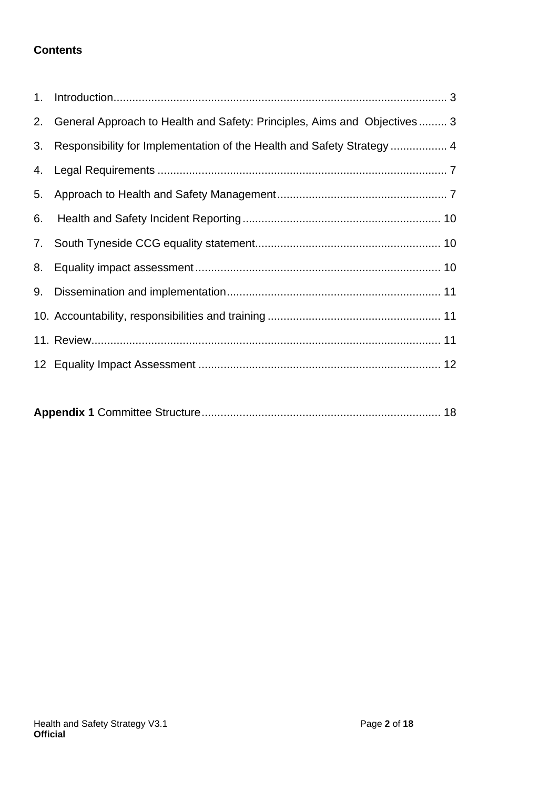#### **Contents**

| 1. |                                                                          |
|----|--------------------------------------------------------------------------|
| 2. | General Approach to Health and Safety: Principles, Aims and Objectives 3 |
| 3. | Responsibility for Implementation of the Health and Safety Strategy  4   |
| 4. |                                                                          |
| 5. |                                                                          |
| 6. |                                                                          |
| 7. |                                                                          |
| 8. |                                                                          |
| 9. |                                                                          |
|    |                                                                          |
|    |                                                                          |
|    |                                                                          |
|    |                                                                          |

|--|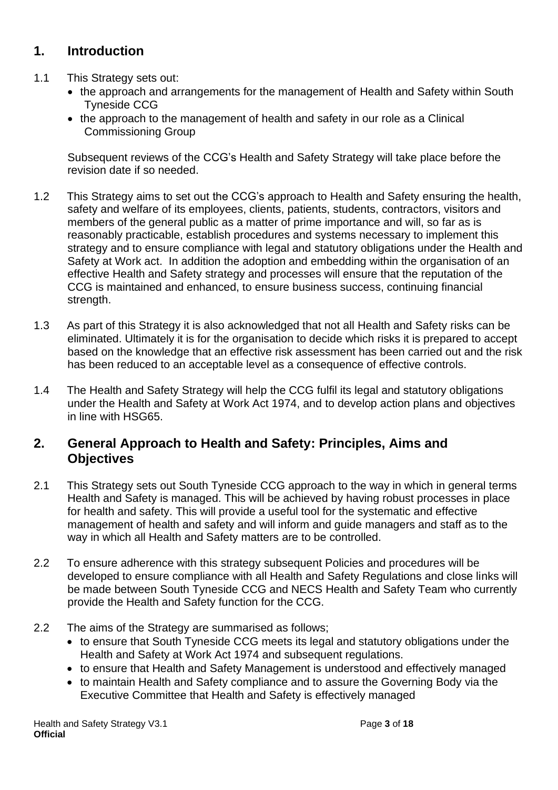# <span id="page-2-0"></span>**1. Introduction**

- 1.1 This Strategy sets out:
	- the approach and arrangements for the management of Health and Safety within South Tyneside CCG
	- the approach to the management of health and safety in our role as a Clinical Commissioning Group

Subsequent reviews of the CCG's Health and Safety Strategy will take place before the revision date if so needed.

- 1.2 This Strategy aims to set out the CCG's approach to Health and Safety ensuring the health, safety and welfare of its employees, clients, patients, students, contractors, visitors and members of the general public as a matter of prime importance and will, so far as is reasonably practicable, establish procedures and systems necessary to implement this strategy and to ensure compliance with legal and statutory obligations under the Health and Safety at Work act. In addition the adoption and embedding within the organisation of an effective Health and Safety strategy and processes will ensure that the reputation of the CCG is maintained and enhanced, to ensure business success, continuing financial strength.
- 1.3 As part of this Strategy it is also acknowledged that not all Health and Safety risks can be eliminated. Ultimately it is for the organisation to decide which risks it is prepared to accept based on the knowledge that an effective risk assessment has been carried out and the risk has been reduced to an acceptable level as a consequence of effective controls.
- 1.4 The Health and Safety Strategy will help the CCG fulfil its legal and statutory obligations under the Health and Safety at Work Act 1974, and to develop action plans and objectives in line with HSG65.

#### <span id="page-2-1"></span>**2. General Approach to Health and Safety: Principles, Aims and Objectives**

- 2.1 This Strategy sets out South Tyneside CCG approach to the way in which in general terms Health and Safety is managed. This will be achieved by having robust processes in place for health and safety. This will provide a useful tool for the systematic and effective management of health and safety and will inform and guide managers and staff as to the way in which all Health and Safety matters are to be controlled.
- 2.2 To ensure adherence with this strategy subsequent Policies and procedures will be developed to ensure compliance with all Health and Safety Regulations and close links will be made between South Tyneside CCG and NECS Health and Safety Team who currently provide the Health and Safety function for the CCG.
- 2.2 The aims of the Strategy are summarised as follows;
	- to ensure that South Tyneside CCG meets its legal and statutory obligations under the Health and Safety at Work Act 1974 and subsequent regulations.
	- to ensure that Health and Safety Management is understood and effectively managed
	- to maintain Health and Safety compliance and to assure the Governing Body via the Executive Committee that Health and Safety is effectively managed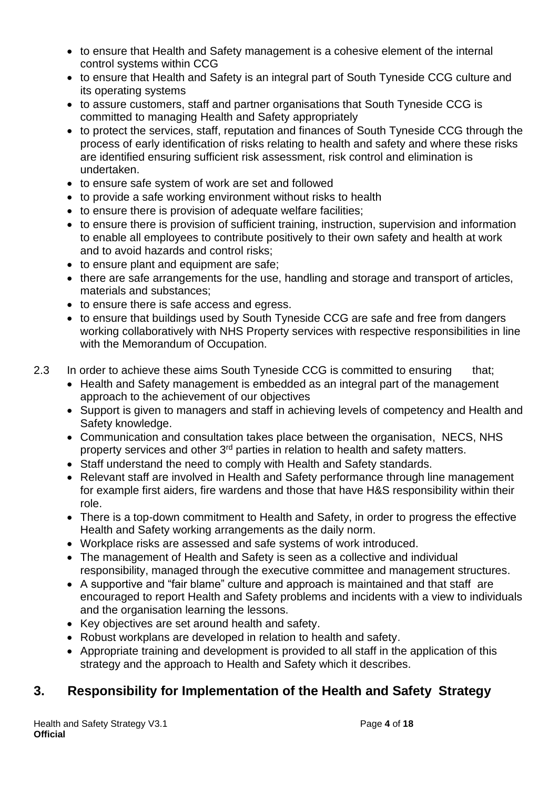- to ensure that Health and Safety management is a cohesive element of the internal control systems within CCG
- to ensure that Health and Safety is an integral part of South Tyneside CCG culture and its operating systems
- to assure customers, staff and partner organisations that South Tyneside CCG is committed to managing Health and Safety appropriately
- to protect the services, staff, reputation and finances of South Tyneside CCG through the process of early identification of risks relating to health and safety and where these risks are identified ensuring sufficient risk assessment, risk control and elimination is undertaken.
- to ensure safe system of work are set and followed
- to provide a safe working environment without risks to health
- to ensure there is provision of adequate welfare facilities:
- to ensure there is provision of sufficient training, instruction, supervision and information to enable all employees to contribute positively to their own safety and health at work and to avoid hazards and control risks;
- to ensure plant and equipment are safe;
- there are safe arrangements for the use, handling and storage and transport of articles, materials and substances;
- to ensure there is safe access and egress.
- to ensure that buildings used by South Tyneside CCG are safe and free from dangers working collaboratively with NHS Property services with respective responsibilities in line with the Memorandum of Occupation.
- 2.3 In order to achieve these aims South Tyneside CCG is committed to ensuring that;
	- Health and Safety management is embedded as an integral part of the management approach to the achievement of our objectives
	- Support is given to managers and staff in achieving levels of competency and Health and Safety knowledge.
	- Communication and consultation takes place between the organisation, NECS, NHS property services and other 3rd parties in relation to health and safety matters.
	- Staff understand the need to comply with Health and Safety standards.
	- Relevant staff are involved in Health and Safety performance through line management for example first aiders, fire wardens and those that have H&S responsibility within their role.
	- There is a top-down commitment to Health and Safety, in order to progress the effective Health and Safety working arrangements as the daily norm.
	- Workplace risks are assessed and safe systems of work introduced.
	- The management of Health and Safety is seen as a collective and individual responsibility, managed through the executive committee and management structures.
	- A supportive and "fair blame" culture and approach is maintained and that staff are encouraged to report Health and Safety problems and incidents with a view to individuals and the organisation learning the lessons.
	- Key objectives are set around health and safety.
	- Robust workplans are developed in relation to health and safety.
	- Appropriate training and development is provided to all staff in the application of this strategy and the approach to Health and Safety which it describes.

# <span id="page-3-0"></span>**3. Responsibility for Implementation of the Health and Safety Strategy**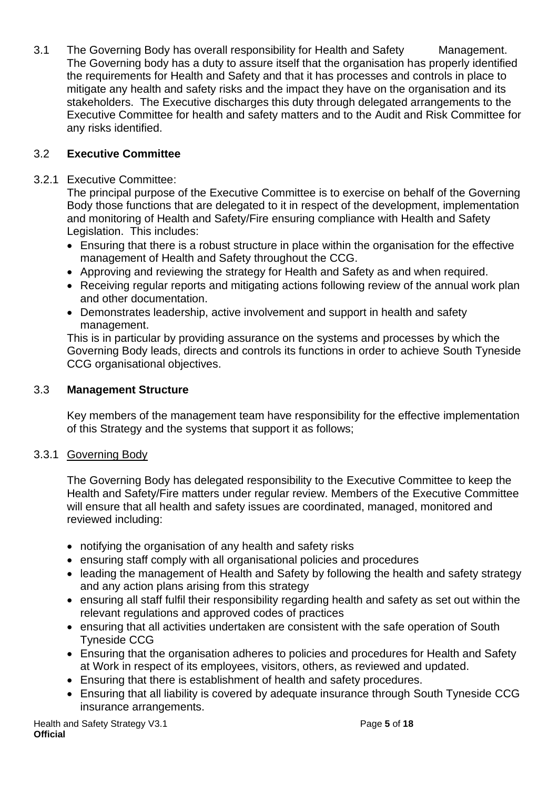3.1 The Governing Body has overall responsibility for Health and Safety Management. The Governing body has a duty to assure itself that the organisation has properly identified the requirements for Health and Safety and that it has processes and controls in place to mitigate any health and safety risks and the impact they have on the organisation and its stakeholders. The Executive discharges this duty through delegated arrangements to the Executive Committee for health and safety matters and to the Audit and Risk Committee for any risks identified.

#### 3.2 **Executive Committee**

#### 3.2.1 Executive Committee:

The principal purpose of the Executive Committee is to exercise on behalf of the Governing Body those functions that are delegated to it in respect of the development, implementation and monitoring of Health and Safety/Fire ensuring compliance with Health and Safety Legislation. This includes:

- Ensuring that there is a robust structure in place within the organisation for the effective management of Health and Safety throughout the CCG.
- Approving and reviewing the strategy for Health and Safety as and when required.
- Receiving regular reports and mitigating actions following review of the annual work plan and other documentation.
- Demonstrates leadership, active involvement and support in health and safety management.

This is in particular by providing assurance on the systems and processes by which the Governing Body leads, directs and controls its functions in order to achieve South Tyneside CCG organisational objectives.

#### 3.3 **Management Structure**

Key members of the management team have responsibility for the effective implementation of this Strategy and the systems that support it as follows;

#### 3.3.1 Governing Body

The Governing Body has delegated responsibility to the Executive Committee to keep the Health and Safety/Fire matters under regular review. Members of the Executive Committee will ensure that all health and safety issues are coordinated, managed, monitored and reviewed including:

- notifying the organisation of any health and safety risks
- ensuring staff comply with all organisational policies and procedures
- leading the management of Health and Safety by following the health and safety strategy and any action plans arising from this strategy
- ensuring all staff fulfil their responsibility regarding health and safety as set out within the relevant regulations and approved codes of practices
- ensuring that all activities undertaken are consistent with the safe operation of South Tyneside CCG
- Ensuring that the organisation adheres to policies and procedures for Health and Safety at Work in respect of its employees, visitors, others, as reviewed and updated.
- Ensuring that there is establishment of health and safety procedures.
- Ensuring that all liability is covered by adequate insurance through South Tyneside CCG insurance arrangements.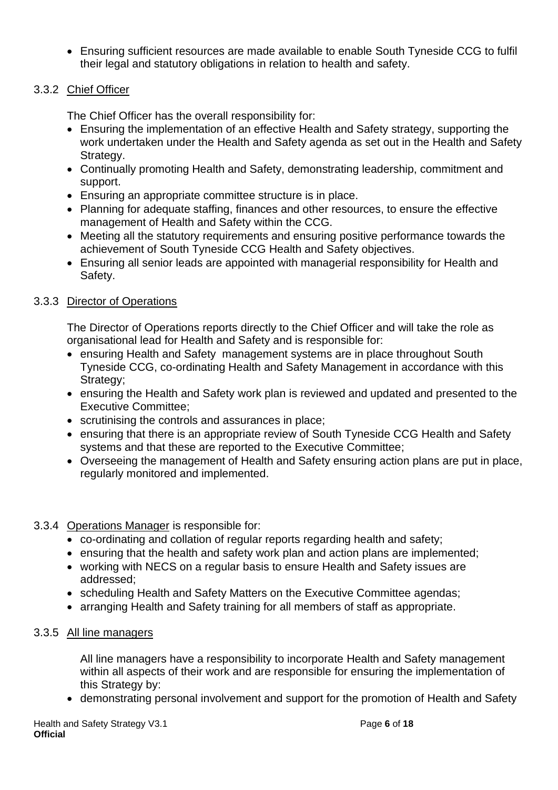• Ensuring sufficient resources are made available to enable South Tyneside CCG to fulfil their legal and statutory obligations in relation to health and safety.

#### 3.3.2 Chief Officer

The Chief Officer has the overall responsibility for:

- Ensuring the implementation of an effective Health and Safety strategy, supporting the work undertaken under the Health and Safety agenda as set out in the Health and Safety Strategy.
- Continually promoting Health and Safety, demonstrating leadership, commitment and support.
- Ensuring an appropriate committee structure is in place.
- Planning for adequate staffing, finances and other resources, to ensure the effective management of Health and Safety within the CCG.
- Meeting all the statutory requirements and ensuring positive performance towards the achievement of South Tyneside CCG Health and Safety objectives.
- Ensuring all senior leads are appointed with managerial responsibility for Health and Safety.

#### 3.3.3 Director of Operations

The Director of Operations reports directly to the Chief Officer and will take the role as organisational lead for Health and Safety and is responsible for:

- ensuring Health and Safety management systems are in place throughout South Tyneside CCG, co-ordinating Health and Safety Management in accordance with this Strategy;
- ensuring the Health and Safety work plan is reviewed and updated and presented to the Executive Committee;
- scrutinising the controls and assurances in place;
- ensuring that there is an appropriate review of South Tyneside CCG Health and Safety systems and that these are reported to the Executive Committee;
- Overseeing the management of Health and Safety ensuring action plans are put in place, regularly monitored and implemented.

#### 3.3.4 Operations Manager is responsible for:

- co-ordinating and collation of regular reports regarding health and safety;
- ensuring that the health and safety work plan and action plans are implemented:
- working with NECS on a regular basis to ensure Health and Safety issues are addressed;
- scheduling Health and Safety Matters on the Executive Committee agendas;
- arranging Health and Safety training for all members of staff as appropriate.

#### 3.3.5 All line managers

All line managers have a responsibility to incorporate Health and Safety management within all aspects of their work and are responsible for ensuring the implementation of this Strategy by:

• demonstrating personal involvement and support for the promotion of Health and Safety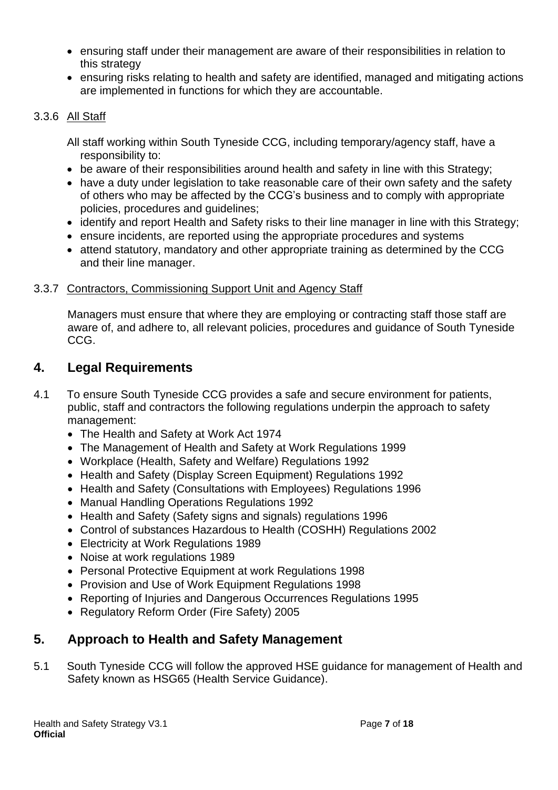- ensuring staff under their management are aware of their responsibilities in relation to this strategy
- ensuring risks relating to health and safety are identified, managed and mitigating actions are implemented in functions for which they are accountable.

#### 3.3.6 All Staff

All staff working within South Tyneside CCG, including temporary/agency staff, have a responsibility to:

- be aware of their responsibilities around health and safety in line with this Strategy;
- have a duty under legislation to take reasonable care of their own safety and the safety of others who may be affected by the CCG's business and to comply with appropriate policies, procedures and guidelines;
- identify and report Health and Safety risks to their line manager in line with this Strategy;
- ensure incidents, are reported using the appropriate procedures and systems
- attend statutory, mandatory and other appropriate training as determined by the CCG and their line manager.

#### 3.3.7 Contractors, Commissioning Support Unit and Agency Staff

Managers must ensure that where they are employing or contracting staff those staff are aware of, and adhere to, all relevant policies, procedures and guidance of South Tyneside CCG.

#### <span id="page-6-0"></span>**4. Legal Requirements**

- 4.1 To ensure South Tyneside CCG provides a safe and secure environment for patients, public, staff and contractors the following regulations underpin the approach to safety management:
	- The Health and Safety at Work Act 1974
	- The Management of Health and Safety at Work Regulations 1999
	- Workplace (Health, Safety and Welfare) Regulations 1992
	- Health and Safety (Display Screen Equipment) Regulations 1992
	- Health and Safety (Consultations with Employees) Regulations 1996
	- Manual Handling Operations Regulations 1992
	- Health and Safety (Safety signs and signals) regulations 1996
	- Control of substances Hazardous to Health (COSHH) Regulations 2002
	- Electricity at Work Regulations 1989
	- Noise at work regulations 1989
	- Personal Protective Equipment at work Regulations 1998
	- Provision and Use of Work Equipment Regulations 1998
	- Reporting of Injuries and Dangerous Occurrences Regulations 1995
	- Regulatory Reform Order (Fire Safety) 2005

# <span id="page-6-1"></span>**5. Approach to Health and Safety Management**

5.1 South Tyneside CCG will follow the approved HSE guidance for management of Health and Safety known as HSG65 (Health Service Guidance).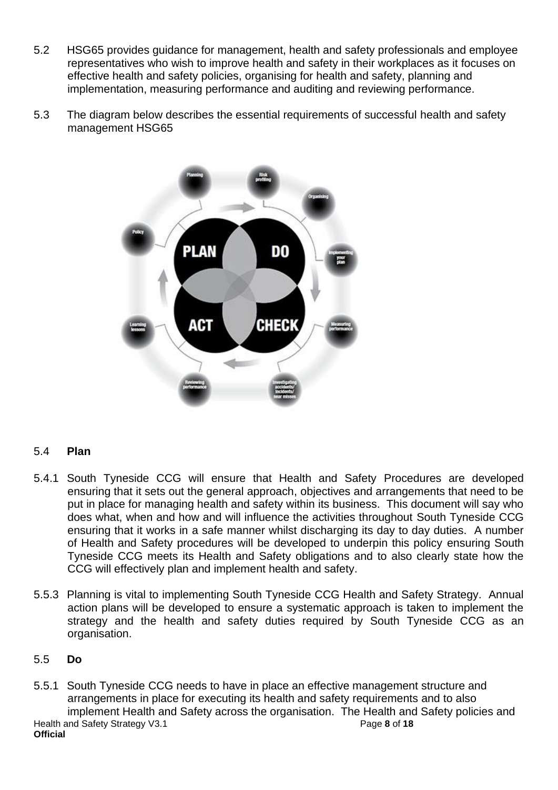- 5.2 HSG65 provides guidance for management, health and safety professionals and employee representatives who wish to improve health and safety in their workplaces as it focuses on effective health and safety policies, organising for health and safety, planning and implementation, measuring performance and auditing and reviewing performance.
- 5.3 The diagram below describes the essential requirements of successful health and safety management HSG65



#### 5.4 **Plan**

- 5.4.1 South Tyneside CCG will ensure that Health and Safety Procedures are developed ensuring that it sets out the general approach, objectives and arrangements that need to be put in place for managing health and safety within its business. This document will say who does what, when and how and will influence the activities throughout South Tyneside CCG ensuring that it works in a safe manner whilst discharging its day to day duties. A number of Health and Safety procedures will be developed to underpin this policy ensuring South Tyneside CCG meets its Health and Safety obligations and to also clearly state how the CCG will effectively plan and implement health and safety.
- 5.5.3 Planning is vital to implementing South Tyneside CCG Health and Safety Strategy. Annual action plans will be developed to ensure a systematic approach is taken to implement the strategy and the health and safety duties required by South Tyneside CCG as an organisation.

#### 5.5 **Do**

Health and Safety Strategy V3.1 Page 8 of 18 **Official** 5.5.1 South Tyneside CCG needs to have in place an effective management structure and arrangements in place for executing its health and safety requirements and to also implement Health and Safety across the organisation. The Health and Safety policies and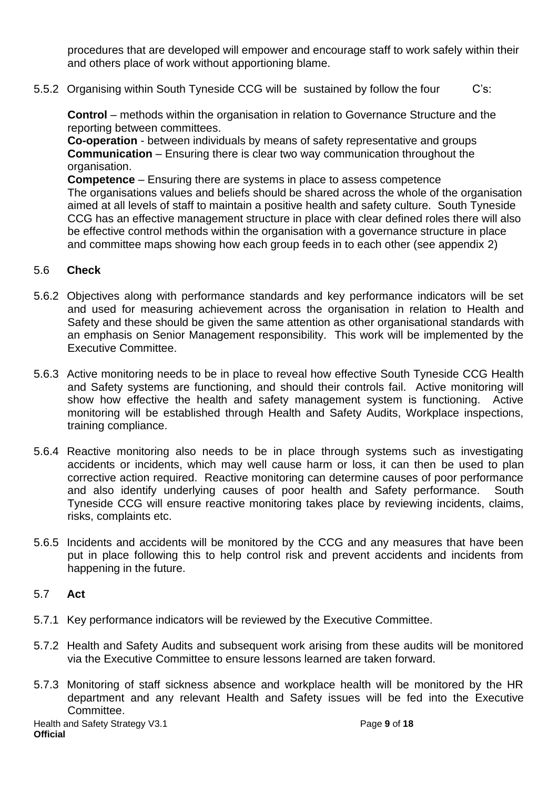procedures that are developed will empower and encourage staff to work safely within their and others place of work without apportioning blame.

5.5.2 Organising within South Tyneside CCG will be sustained by follow the four C's:

**Control** – methods within the organisation in relation to Governance Structure and the reporting between committees.

**Co-operation** - between individuals by means of safety representative and groups **Communication** – Ensuring there is clear two way communication throughout the organisation.

**Competence** – Ensuring there are systems in place to assess competence The organisations values and beliefs should be shared across the whole of the organisation aimed at all levels of staff to maintain a positive health and safety culture. South Tyneside CCG has an effective management structure in place with clear defined roles there will also be effective control methods within the organisation with a governance structure in place and committee maps showing how each group feeds in to each other (see appendix 2)

#### 5.6 **Check**

- 5.6.2 Objectives along with performance standards and key performance indicators will be set and used for measuring achievement across the organisation in relation to Health and Safety and these should be given the same attention as other organisational standards with an emphasis on Senior Management responsibility. This work will be implemented by the Executive Committee.
- 5.6.3 Active monitoring needs to be in place to reveal how effective South Tyneside CCG Health and Safety systems are functioning, and should their controls fail. Active monitoring will show how effective the health and safety management system is functioning. Active monitoring will be established through Health and Safety Audits, Workplace inspections, training compliance.
- 5.6.4 Reactive monitoring also needs to be in place through systems such as investigating accidents or incidents, which may well cause harm or loss, it can then be used to plan corrective action required. Reactive monitoring can determine causes of poor performance and also identify underlying causes of poor health and Safety performance. South Tyneside CCG will ensure reactive monitoring takes place by reviewing incidents, claims, risks, complaints etc.
- 5.6.5 Incidents and accidents will be monitored by the CCG and any measures that have been put in place following this to help control risk and prevent accidents and incidents from happening in the future.

#### 5.7 **Act**

- 5.7.1 Key performance indicators will be reviewed by the Executive Committee.
- 5.7.2 Health and Safety Audits and subsequent work arising from these audits will be monitored via the Executive Committee to ensure lessons learned are taken forward.
- 5.7.3 Monitoring of staff sickness absence and workplace health will be monitored by the HR department and any relevant Health and Safety issues will be fed into the Executive Committee.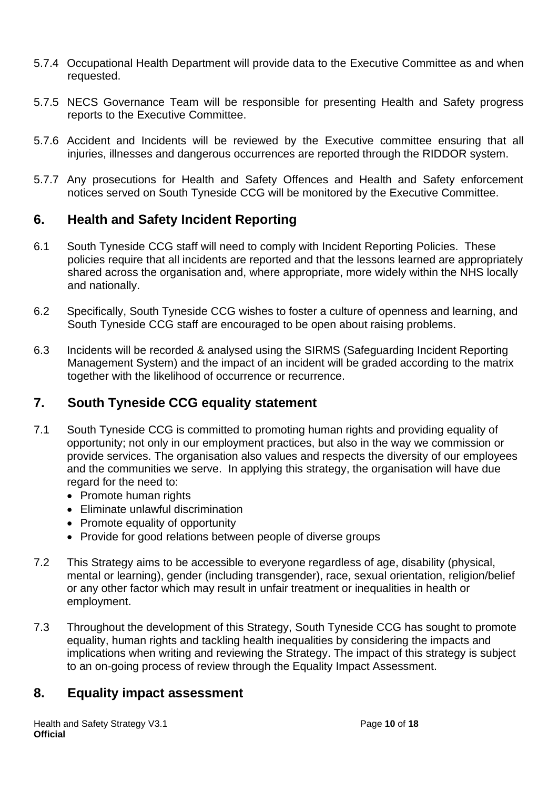- 5.7.4 Occupational Health Department will provide data to the Executive Committee as and when requested.
- 5.7.5 NECS Governance Team will be responsible for presenting Health and Safety progress reports to the Executive Committee.
- 5.7.6 Accident and Incidents will be reviewed by the Executive committee ensuring that all injuries, illnesses and dangerous occurrences are reported through the RIDDOR system.
- 5.7.7 Any prosecutions for Health and Safety Offences and Health and Safety enforcement notices served on South Tyneside CCG will be monitored by the Executive Committee.

# <span id="page-9-0"></span>**6. Health and Safety Incident Reporting**

- 6.1 South Tyneside CCG staff will need to comply with Incident Reporting Policies. These policies require that all incidents are reported and that the lessons learned are appropriately shared across the organisation and, where appropriate, more widely within the NHS locally and nationally.
- 6.2 Specifically, South Tyneside CCG wishes to foster a culture of openness and learning, and South Tyneside CCG staff are encouraged to be open about raising problems.
- 6.3 Incidents will be recorded & analysed using the SIRMS (Safeguarding Incident Reporting Management System) and the impact of an incident will be graded according to the matrix together with the likelihood of occurrence or recurrence.

# <span id="page-9-1"></span>**7. South Tyneside CCG equality statement**

- 7.1 South Tyneside CCG is committed to promoting human rights and providing equality of opportunity; not only in our employment practices, but also in the way we commission or provide services. The organisation also values and respects the diversity of our employees and the communities we serve. In applying this strategy, the organisation will have due regard for the need to:
	- Promote human rights
	- Eliminate unlawful discrimination
	- Promote equality of opportunity
	- Provide for good relations between people of diverse groups
- 7.2 This Strategy aims to be accessible to everyone regardless of age, disability (physical, mental or learning), gender (including transgender), race, sexual orientation, religion/belief or any other factor which may result in unfair treatment or inequalities in health or employment.
- 7.3 Throughout the development of this Strategy, South Tyneside CCG has sought to promote equality, human rights and tackling health inequalities by considering the impacts and implications when writing and reviewing the Strategy. The impact of this strategy is subject to an on-going process of review through the Equality Impact Assessment.

#### <span id="page-9-2"></span>**8. Equality impact assessment**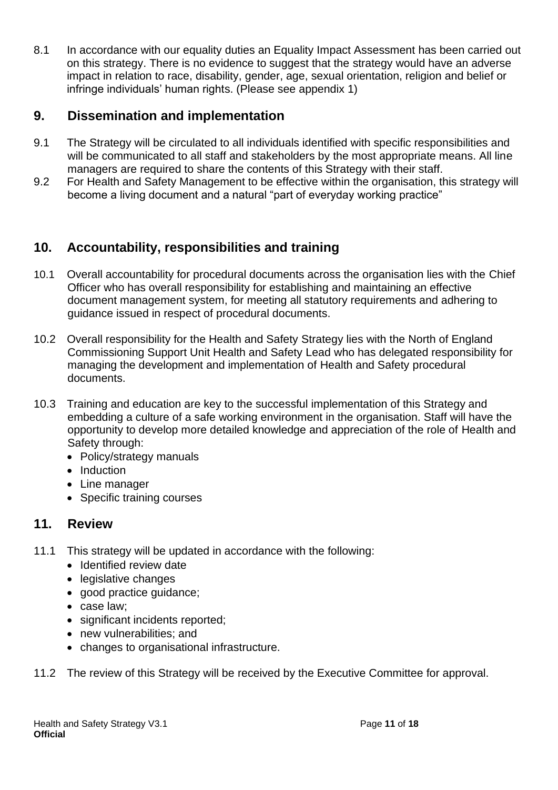8.1 In accordance with our equality duties an Equality Impact Assessment has been carried out on this strategy. There is no evidence to suggest that the strategy would have an adverse impact in relation to race, disability, gender, age, sexual orientation, religion and belief or infringe individuals' human rights. (Please see appendix 1)

# <span id="page-10-0"></span>**9. Dissemination and implementation**

- 9.1 The Strategy will be circulated to all individuals identified with specific responsibilities and will be communicated to all staff and stakeholders by the most appropriate means. All line managers are required to share the contents of this Strategy with their staff.
- 9.2 For Health and Safety Management to be effective within the organisation, this strategy will become a living document and a natural "part of everyday working practice"

# <span id="page-10-1"></span>**10. Accountability, responsibilities and training**

- 10.1 Overall accountability for procedural documents across the organisation lies with the Chief Officer who has overall responsibility for establishing and maintaining an effective document management system, for meeting all statutory requirements and adhering to guidance issued in respect of procedural documents.
- 10.2 Overall responsibility for the Health and Safety Strategy lies with the North of England Commissioning Support Unit Health and Safety Lead who has delegated responsibility for managing the development and implementation of Health and Safety procedural documents.
- 10.3 Training and education are key to the successful implementation of this Strategy and embedding a culture of a safe working environment in the organisation. Staff will have the opportunity to develop more detailed knowledge and appreciation of the role of Health and Safety through:
	- Policy/strategy manuals
	- Induction
	- Line manager
	- Specific training courses

# <span id="page-10-2"></span>**11. Review**

- 11.1 This strategy will be updated in accordance with the following:
	- Identified review date
	- legislative changes
	- good practice guidance;
	- case law;
	- significant incidents reported;
	- new vulnerabilities: and
	- changes to organisational infrastructure.
- 11.2 The review of this Strategy will be received by the Executive Committee for approval.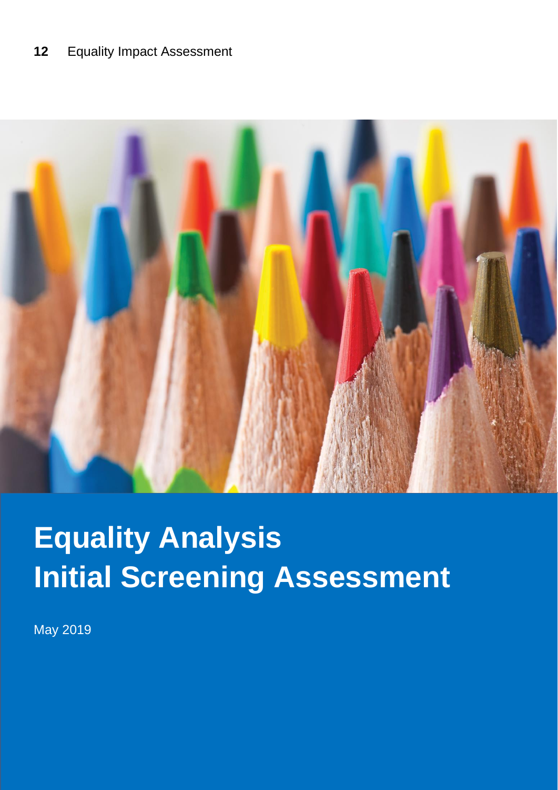# <span id="page-11-0"></span>**12** Equality Impact Assessment



# **Equality Analysis Initial Screening Assessment**

May 2019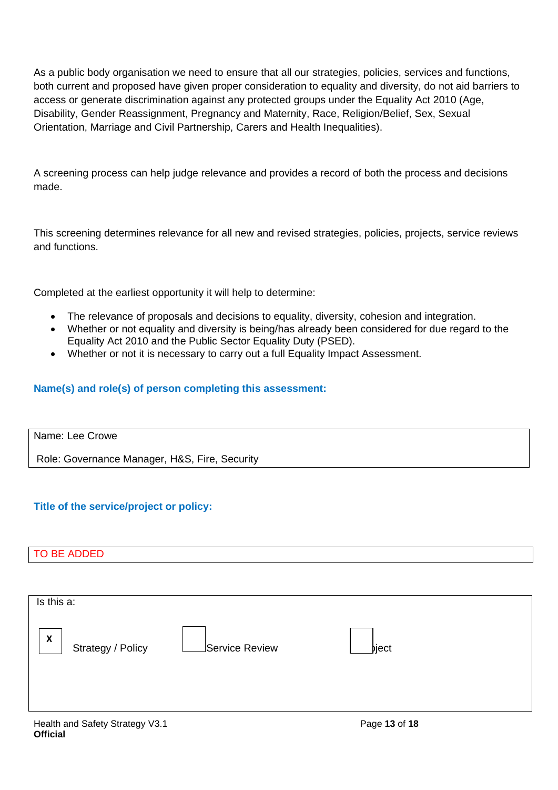As a public body organisation we need to ensure that all our strategies, policies, services and functions, both current and proposed have given proper consideration to equality and diversity, do not aid barriers to access or generate discrimination against any protected groups under the Equality Act 2010 (Age, Disability, Gender Reassignment, Pregnancy and Maternity, Race, Religion/Belief, Sex, Sexual Orientation, Marriage and Civil Partnership, Carers and Health Inequalities).

A screening process can help judge relevance and provides a record of both the process and decisions made.

This screening determines relevance for all new and revised strategies, policies, projects, service reviews and functions.

Completed at the earliest opportunity it will help to determine:

- The relevance of proposals and decisions to equality, diversity, cohesion and integration.
- Whether or not equality and diversity is being/has already been considered for due regard to the Equality Act 2010 and the Public Sector Equality Duty (PSED).
- Whether or not it is necessary to carry out a full Equality Impact Assessment.

#### **Name(s) and role(s) of person completing this assessment:**

Name: Lee Crowe

Role: Governance Manager, H&S, Fire, Security

#### **Title of the service/project or policy:**

#### TO BE ADDED

| Is this a:                                     |                |                                                                                                                 |  |
|------------------------------------------------|----------------|-----------------------------------------------------------------------------------------------------------------|--|
| $\boldsymbol{\mathsf{x}}$<br>Strategy / Policy | Service Review | _bject                                                                                                          |  |
| アンティー・ション アンディー・ショップ こうしょう こうしょう こうしょう こうしょう   |                | the contract of the contract of the contract of the contract of the contract of the contract of the contract of |  |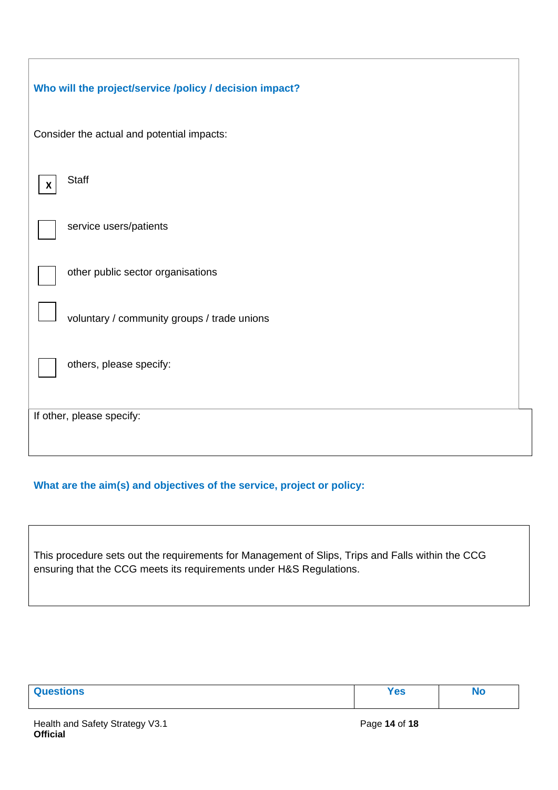| Who will the project/service /policy / decision impact? |  |
|---------------------------------------------------------|--|
| Consider the actual and potential impacts:              |  |
| <b>Staff</b><br>X                                       |  |
| service users/patients                                  |  |
| other public sector organisations                       |  |
| voluntary / community groups / trade unions             |  |
| others, please specify:                                 |  |
| If other, please specify:                               |  |
|                                                         |  |

#### **What are the aim(s) and objectives of the service, project or policy:**

This procedure sets out the requirements for Management of Slips, Trips and Falls within the CCG ensuring that the CCG meets its requirements under H&S Regulations.

| $\Omega$<br><b>uestions</b> | $\sim$<br>פט ו |  |
|-----------------------------|----------------|--|
|                             |                |  |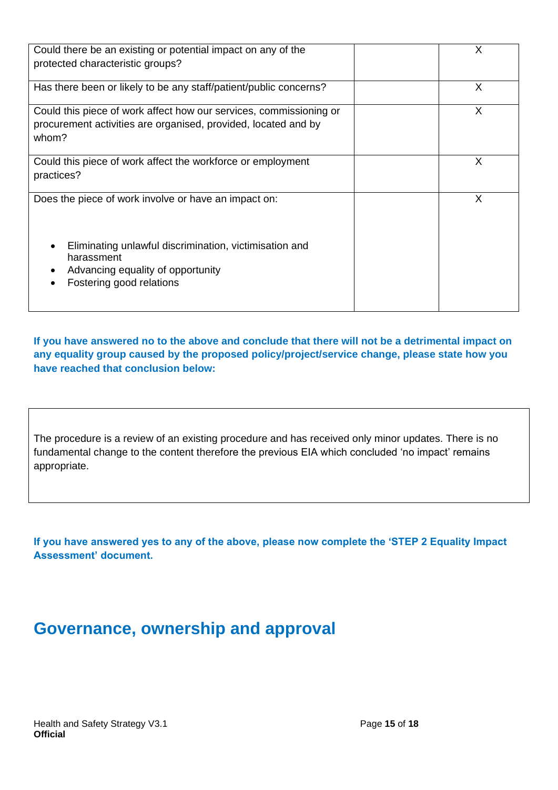| Could there be an existing or potential impact on any of the<br>protected characteristic groups?                                              | X |
|-----------------------------------------------------------------------------------------------------------------------------------------------|---|
| Has there been or likely to be any staff/patient/public concerns?                                                                             | X |
| Could this piece of work affect how our services, commissioning or<br>procurement activities are organised, provided, located and by<br>whom? | X |
| Could this piece of work affect the workforce or employment<br>practices?                                                                     | X |
| Does the piece of work involve or have an impact on:                                                                                          | X |
| Eliminating unlawful discrimination, victimisation and<br>harassment<br>Advancing equality of opportunity<br>Fostering good relations         |   |

**If you have answered no to the above and conclude that there will not be a detrimental impact on any equality group caused by the proposed policy/project/service change, please state how you have reached that conclusion below:** 

The procedure is a review of an existing procedure and has received only minor updates. There is no fundamental change to the content therefore the previous EIA which concluded 'no impact' remains appropriate.

**If you have answered yes to any of the above, please now complete the 'STEP 2 Equality Impact Assessment' document.**

# **Governance, ownership and approval**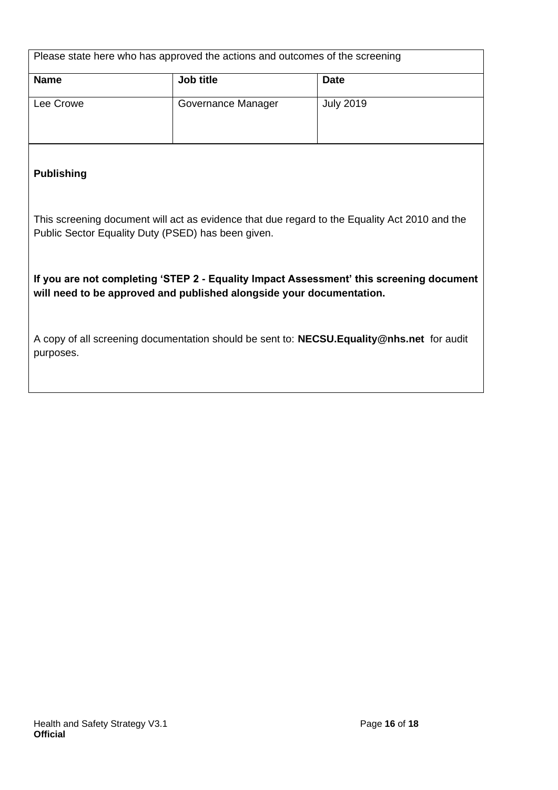| Please state here who has approved the actions and outcomes of the screening |                    |                  |  |
|------------------------------------------------------------------------------|--------------------|------------------|--|
| <b>Name</b>                                                                  | Job title          | <b>Date</b>      |  |
| Lee Crowe                                                                    | Governance Manager | <b>July 2019</b> |  |

#### **Publishing**

This screening document will act as evidence that due regard to the Equality Act 2010 and the Public Sector Equality Duty (PSED) has been given.

**If you are not completing 'STEP 2 - Equality Impact Assessment' this screening document will need to be approved and published alongside your documentation.**

A copy of all screening documentation should be sent to: **[NECSU.Equality@nhs.net](mailto:NECSU.Equality@nhs.net)** for audit purposes.